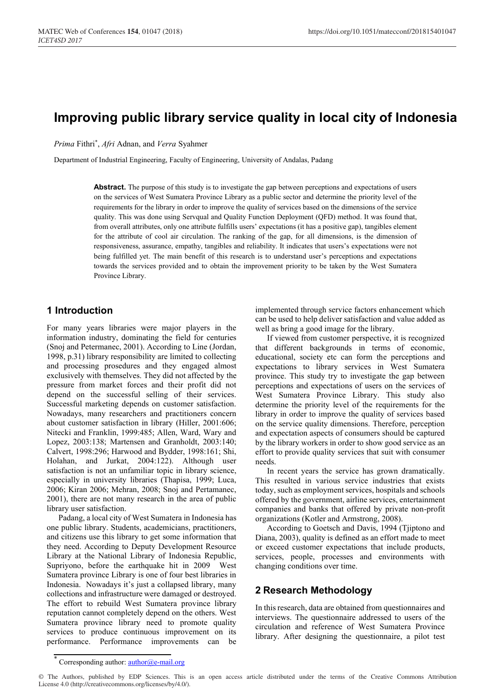# **Improving public library service quality in local city of Indonesia**

*Prima* Fithri\* , *Afri* Adnan, and *Verra* Syahmer

Department of Industrial Engineering, Faculty of Engineering, University of Andalas, Padang

**Abstract.** The purpose of this study is to investigate the gap between perceptions and expectations of users on the services of West Sumatera Province Library as a public sector and determine the priority level of the requirements for the library in order to improve the quality of services based on the dimensions of the service quality. This was done using Servqual and Quality Function Deployment (QFD) method. It was found that, from overall attributes, only one attribute fulfills users' expectations (it has a positive gap), tangibles element for the attribute of cool air circulation. The ranking of the gap, for all dimensions, is the dimension of responsiveness, assurance, empathy, tangibles and reliability. It indicates that users's expectations were not being fulfilled yet. The main benefit of this research is to understand user's perceptions and expectations towards the services provided and to obtain the improvement priority to be taken by the West Sumatera Province Library.

### **1 Introduction**

For many years libraries were major players in the information industry, dominating the field for centuries (Snoj and Petermanec, 2001). According to Line (Jordan, 1998, p.31) library responsibility are limited to collecting and processing prosedures and they engaged almost exclusively with themselves. They did not affected by the pressure from market forces and their profit did not depend on the successful selling of their services. Successful marketing depends on customer satisfaction. Nowadays, many researchers and practitioners concern about customer satisfaction in library (Hiller, 2001:606; Nitecki and Franklin, 1999:485; Allen, Ward, Wary and Lopez, 2003:138; Martensen and Granholdt, 2003:140; Calvert, 1998:296; Harwood and Bydder, 1998:161; Shi, Holahan, and Jurkat, 2004:122). Although user satisfaction is not an unfamiliar topic in library science, especially in university libraries (Thapisa, 1999; Luca, 2006; Kiran 2006; Mehran, 2008; Snoj and Pertamanec, 2001), there are not many research in the area of public library user satisfaction.

Padang, a local city of West Sumatera in Indonesia has one public library. Students, academicians, practitioners, and citizens use this library to get some information that they need. According to Deputy Development Resource Library at the National Library of Indonesia Republic, Supriyono, before the earthquake hit in 2009 West Sumatera province Library is one of four best libraries in Indonesia. Nowadays it's just a collapsed library, many collections and infrastructure were damaged or destroyed. The effort to rebuild West Sumatera province library reputation cannot completely depend on the others. West Sumatera province library need to promote quality services to produce continuous improvement on its performance. Performance improvements can be

implemented through service factors enhancement which can be used to help deliver satisfaction and value added as well as bring a good image for the library.

If viewed from customer perspective, it is recognized that different backgrounds in terms of economic, educational, society etc can form the perceptions and expectations to library services in West Sumatera province. This study try to investigate the gap between perceptions and expectations of users on the services of West Sumatera Province Library. This study also determine the priority level of the requirements for the library in order to improve the quality of services based on the service quality dimensions. Therefore, perception and expectation aspects of consumers should be captured by the library workers in order to show good service as an effort to provide quality services that suit with consumer needs.

In recent years the service has grown dramatically. This resulted in various service industries that exists today, such as employment services, hospitals and schools offered by the government, airline services, entertainment companies and banks that offered by private non-profit organizations (Kotler and Armstrong, 2008).

According to Goetsch and Davis, 1994 (Tjiptono and Diana, 2003), quality is defined as an effort made to meet or exceed customer expectations that include products, services, people, processes and environments with changing conditions over time.

# **2 Research Methodology**

In this research, data are obtained from questionnaires and interviews. The questionnaire addressed to users of the circulation and reference of West Sumatera Province library. After designing the questionnaire, a pilot test

Corresponding author:  $\frac{\text{author}(a)e\text{-mail.org}}{\text{mail.org}}$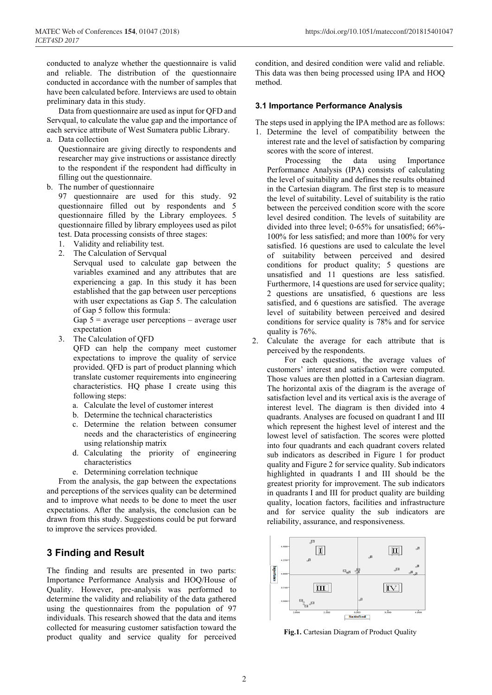conducted to analyze whether the questionnaire is valid and reliable. The distribution of the questionnaire conducted in accordance with the number of samples that have been calculated before. Interviews are used to obtain preliminary data in this study.

Data from questionnaire are used as input for QFD and Servqual, to calculate the value gap and the importance of each service attribute of West Sumatera public Library.

a. Data collection

Questionnaire are giving directly to respondents and researcher may give instructions or assistance directly to the respondent if the respondent had difficulty in filling out the questionnaire.

b. The number of questionnaire

97 questionnaire are used for this study. 92 questionnaire filled out by respondents and 5 questionnaire filled by the Library employees. 5 questionnaire filled by library employees used as pilot test. Data processing consists of three stages:

- 1. Validity and reliability test.
- 2. The Calculation of Servqual

Servqual used to calculate gap between the variables examined and any attributes that are experiencing a gap. In this study it has been established that the gap between user perceptions with user expectations as Gap 5. The calculation of Gap 5 follow this formula:

Gap  $5$  = average user perceptions – average user expectation

3. The Calculation of QFD

QFD can help the company meet customer expectations to improve the quality of service provided. QFD is part of product planning which translate customer requirements into engineering characteristics. HQ phase I create using this following steps:

- a. Calculate the level of customer interest
- b. Determine the technical characteristics
- c. Determine the relation between consumer needs and the characteristics of engineering using relationship matrix
- d. Calculating the priority of engineering characteristics
- e. Determining correlation technique

From the analysis, the gap between the expectations and perceptions of the services quality can be determined and to improve what needs to be done to meet the user expectations. After the analysis, the conclusion can be drawn from this study. Suggestions could be put forward to improve the services provided.

# **3 Finding and Result**

The finding and results are presented in two parts: Importance Performance Analysis and HOQ/House of Quality. However, pre-analysis was performed to determine the validity and reliability of the data gathered using the questionnaires from the population of 97 individuals. This research showed that the data and items collected for measuring customer satisfaction toward the product quality and service quality for perceived condition, and desired condition were valid and reliable. This data was then being processed using IPA and HOQ method.

#### **3.1 Importance Performance Analysis**

The steps used in applying the IPA method are as follows:

1. Determine the level of compatibility between the interest rate and the level of satisfaction by comparing scores with the score of interest.

Processing the data using Importance Performance Analysis (IPA) consists of calculating the level of suitability and defines the results obtained in the Cartesian diagram. The first step is to measure the level of suitability. Level of suitability is the ratio between the perceived condition score with the score level desired condition. The levels of suitability are divided into three level; 0-65% for unsatisfied; 66%- 100% for less satisfied; and more than 100% for very satisfied. 16 questions are used to calculate the level of suitability between perceived and desired conditions for product quality; 5 questions are unsatisfied and 11 questions are less satisfied. Furthermore, 14 questions are used for service quality; 2 questions are unsatisfied, 6 questions are less satisfied, and 6 questions are satisfied. The average level of suitability between perceived and desired conditions for service quality is 78% and for service quality is 76%.

2. Calculate the average for each attribute that is perceived by the respondents.

For each questions, the average values of customers' interest and satisfaction were computed. Those values are then plotted in a Cartesian diagram. The horizontal axis of the diagram is the average of satisfaction level and its vertical axis is the average of interest level. The diagram is then divided into 4 quadrants. Analyses are focused on quadrant I and III which represent the highest level of interest and the lowest level of satisfaction. The scores were plotted into four quadrants and each quadrant covers related sub indicators as described in Figure 1 for product quality and Figure 2 for service quality. Sub indicators highlighted in quadrants I and III should be the greatest priority for improvement. The sub indicators in quadrants I and III for product quality are building quality, location factors, facilities and infrastructure and for service quality the sub indicators are reliability, assurance, and responsiveness.



**Fig.1.** Cartesian Diagram of Product Quality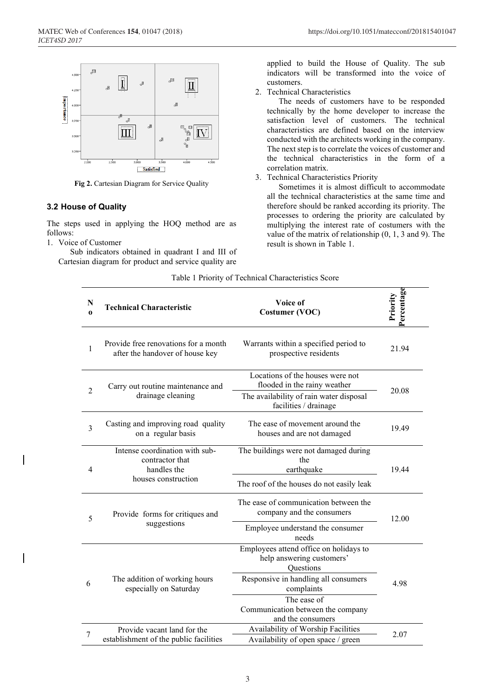

**Fig 2.** Cartesian Diagram for Service Quality

#### **3.2 House of Quality**

The steps used in applying the HOQ method are as follows:

1. Voice of Customer

Sub indicators obtained in quadrant I and III of Cartesian diagram for product and service quality are

applied to build the House of Quality. The sub indicators will be transformed into the voice of customers.

2. Technical Characteristics

The needs of customers have to be responded technically by the home developer to increase the satisfaction level of customers. The technical characteristics are defined based on the interview conducted with the architects working in the company. The next step is to correlate the voices of customer and the technical characteristics in the form of a correlation matrix.

3. Technical Characteristics Priority

Sometimes it is almost difficult to accommodate all the technical characteristics at the same time and therefore should be ranked according its priority. The processes to ordering the priority are calculated by multiplying the interest rate of costumers with the value of the matrix of relationship (0, 1, 3 and 9). The result is shown in Table 1.

| N<br>$\bf{0}$  | <b>Technical Characteristic</b>                                                         | Voice of<br>Costumer (VOC)                                                                                                                                                                                               | Percentage<br>Priority |
|----------------|-----------------------------------------------------------------------------------------|--------------------------------------------------------------------------------------------------------------------------------------------------------------------------------------------------------------------------|------------------------|
| 1              | Provide free renovations for a month<br>after the handover of house key                 | Warrants within a specified period to<br>prospective residents                                                                                                                                                           | 21.94                  |
| $\overline{2}$ | Carry out routine maintenance and<br>drainage cleaning                                  | Locations of the houses were not<br>flooded in the rainy weather<br>The availability of rain water disposal<br>facilities / drainage                                                                                     | 20.08                  |
| 3              | Casting and improving road quality<br>on a regular basis                                | The ease of movement around the<br>houses and are not damaged                                                                                                                                                            | 19.49                  |
| 4              | Intense coordination with sub-<br>contractor that<br>handles the<br>houses construction | The buildings were not damaged during<br>the<br>earthquake<br>The roof of the houses do not easily leak                                                                                                                  | 19.44                  |
| 5              | Provide forms for critiques and<br>suggestions                                          | The ease of communication between the<br>company and the consumers<br>Employee understand the consumer                                                                                                                   | 12.00                  |
| 6              | The addition of working hours<br>especially on Saturday                                 | needs<br>Employees attend office on holidays to<br>help answering customers'<br>Questions<br>Responsive in handling all consumers<br>complaints<br>The ease of<br>Communication between the company<br>and the consumers | 4.98                   |
| 7              | Provide vacant land for the<br>establishment of the public facilities                   | Availability of Worship Facilities<br>Availability of open space / green                                                                                                                                                 | 2.07                   |